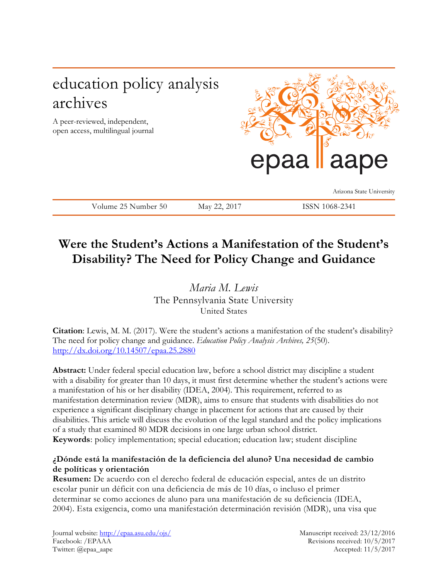# education policy analysis archives

A peer-reviewed, independent, open access, multilingual journal



Arizona State University

Volume 25 Number 50 May 22, 2017 ISSN 1068-2341

# **Were the Student's Actions a Manifestation of the Student's Disability? The Need for Policy Change and Guidance**

*Maria M. Lewis* The Pennsylvania State University United States

**Citation**: Lewis, M. M. (2017). Were the student's actions a manifestation of the student's disability? The need for policy change and guidance. *Education Policy Analysis Archives, 25*(50). <http://dx.doi.org/10.14507/epaa.25.2880>

**Abstract:** Under federal special education law, before a school district may discipline a student with a disability for greater than 10 days, it must first determine whether the student's actions were a manifestation of his or her disability (IDEA, 2004). This requirement, referred to as manifestation determination review (MDR), aims to ensure that students with disabilities do not experience a significant disciplinary change in placement for actions that are caused by their disabilities. This article will discuss the evolution of the legal standard and the policy implications of a study that examined 80 MDR decisions in one large urban school district. **Keywords**: policy implementation; special education; education law; student discipline

# **¿Dónde está la manifestación de la deficiencia del aluno? Una necesidad de cambio de políticas y orientación**

**Resumen:** De acuerdo con el derecho federal de educación especial, antes de un distrito escolar punir un déficit con una deficiencia de más de 10 días, o incluso el primer determinar se como acciones de aluno para una manifestación de su deficiencia (IDEA, 2004). Esta exigencia, como una manifestación determinación revisión (MDR), una visa que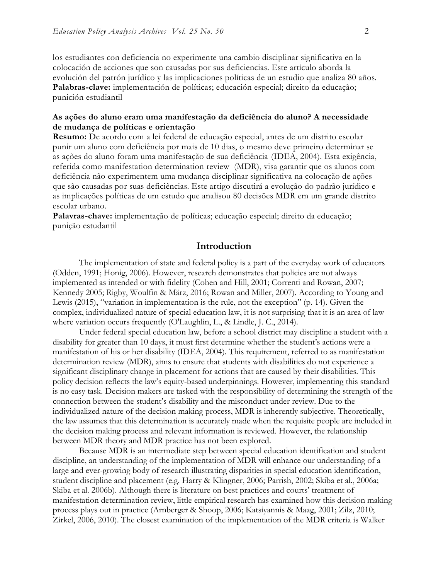los estudiantes con deficiencia no experimente una cambio disciplinar significativa en la colocación de acciones que son causadas por sus deficiencias. Este artículo aborda la evolución del patrón jurídico y las implicaciones políticas de un estudio que analiza 80 años. **Palabras-clave:** implementación de políticas; educación especial; direito da educação; punición estudiantil

## **As ações do aluno eram uma manifestação da deficiência do aluno? A necessidade de mudança de políticas e orientação**

**Resumo:** De acordo com a lei federal de educação especial, antes de um distrito escolar punir um aluno com deficiência por mais de 10 dias, o mesmo deve primeiro determinar se as ações do aluno foram uma manifestação de sua deficiência (IDEA, 2004). Esta exigência, referida como manifestation determination review (MDR), visa garantir que os alunos com deficiência não experimentem uma mudança disciplinar significativa na colocação de ações que são causadas por suas deficiências. Este artigo discutirá a evolução do padrão jurídico e as implicações políticas de um estudo que analisou 80 decisões MDR em um grande distrito escolar urbano.

**Palavras-chave:** implementação de políticas; educação especial; direito da educação; punição estudantil

## **Introduction**

The implementation of state and federal policy is a part of the everyday work of educators (Odden, 1991; Honig, 2006). However, research demonstrates that policies are not always implemented as intended or with fidelity (Cohen and Hill, 2001; Correnti and Rowan, 2007; Kennedy 2005; Rigby, Woulfin & März, 2016; Rowan and Miller, 2007). According to Young and Lewis (2015), "variation in implementation is the rule, not the exception" (p. 14). Given the complex, individualized nature of special education law, it is not surprising that it is an area of law where variation occurs frequently (O'Laughlin, L., & Lindle, J. C., 2014).

Under federal special education law, before a school district may discipline a student with a disability for greater than 10 days, it must first determine whether the student's actions were a manifestation of his or her disability (IDEA, 2004). This requirement, referred to as manifestation determination review (MDR), aims to ensure that students with disabilities do not experience a significant disciplinary change in placement for actions that are caused by their disabilities. This policy decision reflects the law's equity-based underpinnings. However, implementing this standard is no easy task. Decision makers are tasked with the responsibility of determining the strength of the connection between the student's disability and the misconduct under review. Due to the individualized nature of the decision making process, MDR is inherently subjective. Theoretically, the law assumes that this determination is accurately made when the requisite people are included in the decision making process and relevant information is reviewed. However, the relationship between MDR theory and MDR practice has not been explored.

Because MDR is an intermediate step between special education identification and student discipline, an understanding of the implementation of MDR will enhance our understanding of a large and ever-growing body of research illustrating disparities in special education identification, student discipline and placement (e.g. Harry & Klingner, 2006; Parrish, 2002; Skiba et al., 2006a; Skiba et al. 2006b). Although there is literature on best practices and courts' treatment of manifestation determination review, little empirical research has examined how this decision making process plays out in practice (Arnberger & Shoop, 2006; Katsiyannis & Maag, 2001; Zilz, 2010; Zirkel, 2006, 2010). The closest examination of the implementation of the MDR criteria is Walker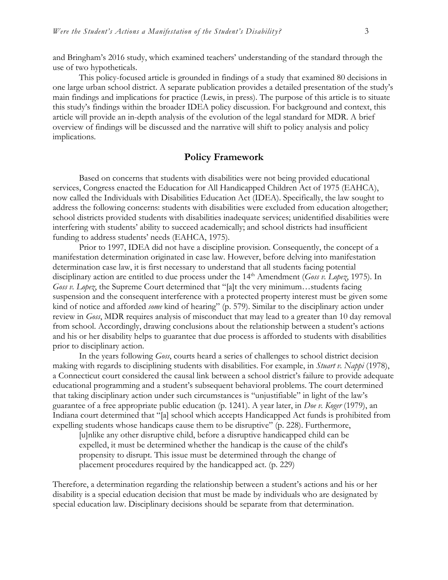and Bringham's 2016 study, which examined teachers' understanding of the standard through the use of two hypotheticals.

This policy-focused article is grounded in findings of a study that examined 80 decisions in one large urban school district. A separate publication provides a detailed presentation of the study's main findings and implications for practice (Lewis, in press). The purpose of this article is to situate this study's findings within the broader IDEA policy discussion. For background and context, this article will provide an in-depth analysis of the evolution of the legal standard for MDR. A brief overview of findings will be discussed and the narrative will shift to policy analysis and policy implications.

## **Policy Framework**

Based on concerns that students with disabilities were not being provided educational services, Congress enacted the Education for All Handicapped Children Act of 1975 (EAHCA), now called the Individuals with Disabilities Education Act (IDEA). Specifically, the law sought to address the following concerns: students with disabilities were excluded from education altogether; school districts provided students with disabilities inadequate services; unidentified disabilities were interfering with students' ability to succeed academically; and school districts had insufficient funding to address students' needs (EAHCA, 1975).

Prior to 1997, IDEA did not have a discipline provision. Consequently, the concept of a manifestation determination originated in case law. However, before delving into manifestation determination case law, it is first necessary to understand that all students facing potential disciplinary action are entitled to due process under the 14<sup>th</sup> Amendment (*Goss v. Lopez*, 1975). In *Goss v. Lopez*, the Supreme Court determined that "[a]t the very minimum...students facing suspension and the consequent interference with a protected property interest must be given some kind of notice and afforded *some* kind of hearing" (p. 579). Similar to the disciplinary action under review in *Goss*, MDR requires analysis of misconduct that may lead to a greater than 10 day removal from school. Accordingly, drawing conclusions about the relationship between a student's actions and his or her disability helps to guarantee that due process is afforded to students with disabilities prior to disciplinary action.

In the years following *Goss*, courts heard a series of challenges to school district decision making with regards to disciplining students with disabilities. For example, in *Stuart v. Nappi* (1978), a Connecticut court considered the causal link between a school district's failure to provide adequate educational programming and a student's subsequent behavioral problems. The court determined that taking disciplinary action under such circumstances is "unjustifiable" in light of the law's guarantee of a free appropriate public education (p. 1241). A year later, in *Doe v. Koger* (1979), an Indiana court determined that "[a] school which accepts Handicapped Act funds is prohibited from expelling students whose handicaps cause them to be disruptive" (p. 228). Furthermore,

[u]nlike any other disruptive child, before a disruptive handicapped child can be expelled, it must be determined whether the handicap is the cause of the child's propensity to disrupt. This issue must be determined through the change of placement procedures required by the handicapped act. (p. 229)

Therefore, a determination regarding the relationship between a student's actions and his or her disability is a special education decision that must be made by individuals who are designated by special education law. Disciplinary decisions should be separate from that determination.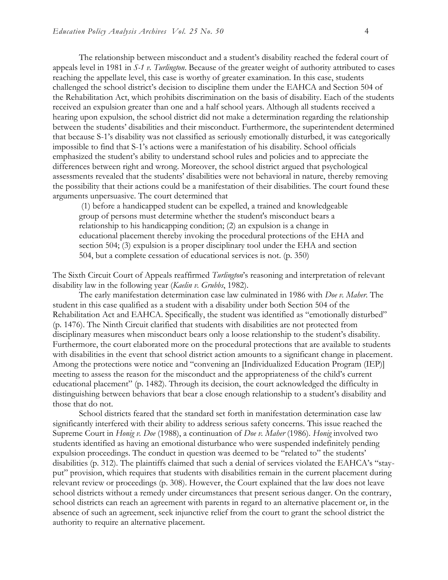The relationship between misconduct and a student's disability reached the federal court of appeals level in 1981 in *S-1 v. Turlington*. Because of the greater weight of authority attributed to cases reaching the appellate level, this case is worthy of greater examination. In this case, students challenged the school district's decision to discipline them under the EAHCA and Section 504 of the Rehabilitation Act, which prohibits discrimination on the basis of disability. Each of the students received an expulsion greater than one and a half school years. Although all students received a hearing upon expulsion, the school district did not make a determination regarding the relationship between the students' disabilities and their misconduct. Furthermore, the superintendent determined that because S-1's disability was not classified as seriously emotionally disturbed, it was categorically impossible to find that S-1's actions were a manifestation of his disability. School officials emphasized the student's ability to understand school rules and policies and to appreciate the differences between right and wrong. Moreover, the school district argued that psychological assessments revealed that the students' disabilities were not behavioral in nature, thereby removing the possibility that their actions could be a manifestation of their disabilities. The court found these arguments unpersuasive. The court determined that

(1) before a handicapped student can be expelled, a trained and knowledgeable group of persons must determine whether the student's misconduct bears a relationship to his handicapping condition; (2) an expulsion is a change in educational placement thereby invoking the procedural protections of the EHA and section 504; (3) expulsion is a proper disciplinary tool under the EHA and section 504, but a complete cessation of educational services is not. (p. 350)

The Sixth Circuit Court of Appeals reaffirmed *Turlington*'s reasoning and interpretation of relevant disability law in the following year (*Kaelin v. Grubbs*, 1982).

The early manifestation determination case law culminated in 1986 with *Doe v. Maher*. The student in this case qualified as a student with a disability under both Section 504 of the Rehabilitation Act and EAHCA. Specifically, the student was identified as "emotionally disturbed" (p. 1476). The Ninth Circuit clarified that students with disabilities are not protected from disciplinary measures when misconduct bears only a loose relationship to the student's disability. Furthermore, the court elaborated more on the procedural protections that are available to students with disabilities in the event that school district action amounts to a significant change in placement. Among the protections were notice and "convening an [Individualized Education Program (IEP)] meeting to assess the reason for the misconduct and the appropriateness of the child's current educational placement" (p. 1482). Through its decision, the court acknowledged the difficulty in distinguishing between behaviors that bear a close enough relationship to a student's disability and those that do not.

School districts feared that the standard set forth in manifestation determination case law significantly interfered with their ability to address serious safety concerns. This issue reached the Supreme Court in *Honig v. Doe* (1988), a continuation of *Doe v. Maher* (1986). *Honig* involved two students identified as having an emotional disturbance who were suspended indefinitely pending expulsion proceedings. The conduct in question was deemed to be "related to" the students' disabilities (p. 312). The plaintiffs claimed that such a denial of services violated the EAHCA's "stayput" provision, which requires that students with disabilities remain in the current placement during relevant review or proceedings (p. 308). However, the Court explained that the law does not leave school districts without a remedy under circumstances that present serious danger. On the contrary, school districts can reach an agreement with parents in regard to an alternative placement or, in the absence of such an agreement, seek injunctive relief from the court to grant the school district the authority to require an alternative placement.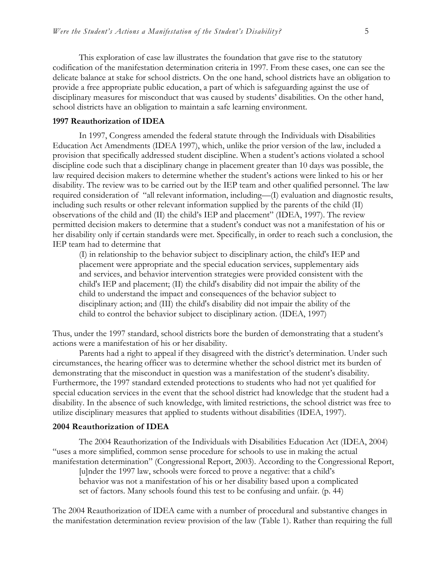This exploration of case law illustrates the foundation that gave rise to the statutory codification of the manifestation determination criteria in 1997. From these cases, one can see the delicate balance at stake for school districts. On the one hand, school districts have an obligation to provide a free appropriate public education, a part of which is safeguarding against the use of disciplinary measures for misconduct that was caused by students' disabilities. On the other hand, school districts have an obligation to maintain a safe learning environment.

### **1997 Reauthorization of IDEA**

In 1997, Congress amended the federal statute through the Individuals with Disabilities Education Act Amendments (IDEA 1997), which, unlike the prior version of the law, included a provision that specifically addressed student discipline. When a student's actions violated a school discipline code such that a disciplinary change in placement greater than 10 days was possible, the law required decision makers to determine whether the student's actions were linked to his or her disability. The review was to be carried out by the IEP team and other qualified personnel. The law required consideration of "all relevant information, including—(I) evaluation and diagnostic results, including such results or other relevant information supplied by the parents of the child (II) observations of the child and (II) the child's IEP and placement" (IDEA, 1997). The review permitted decision makers to determine that a student's conduct was not a manifestation of his or her disability only if certain standards were met. Specifically, in order to reach such a conclusion, the IEP team had to determine that

(I) in relationship to the behavior subject to disciplinary action, the child's IEP and placement were appropriate and the special education services, supplementary aids and services, and behavior intervention strategies were provided consistent with the child's IEP and placement; (II) the child's disability did not impair the ability of the child to understand the impact and consequences of the behavior subject to disciplinary action; and (III) the child's disability did not impair the ability of the child to control the behavior subject to disciplinary action. (IDEA, 1997)

Thus, under the 1997 standard, school districts bore the burden of demonstrating that a student's actions were a manifestation of his or her disability.

Parents had a right to appeal if they disagreed with the district's determination. Under such circumstances, the hearing officer was to determine whether the school district met its burden of demonstrating that the misconduct in question was a manifestation of the student's disability. Furthermore, the 1997 standard extended protections to students who had not yet qualified for special education services in the event that the school district had knowledge that the student had a disability. In the absence of such knowledge, with limited restrictions, the school district was free to utilize disciplinary measures that applied to students without disabilities (IDEA, 1997).

### **2004 Reauthorization of IDEA**

The 2004 Reauthorization of the Individuals with Disabilities Education Act (IDEA, 2004) "uses a more simplified, common sense procedure for schools to use in making the actual manifestation determination" (Congressional Report, 2003). According to the Congressional Report,

[u]nder the 1997 law, schools were forced to prove a negative: that a child's behavior was not a manifestation of his or her disability based upon a complicated set of factors. Many schools found this test to be confusing and unfair. (p. 44)

The 2004 Reauthorization of IDEA came with a number of procedural and substantive changes in the manifestation determination review provision of the law (Table 1). Rather than requiring the full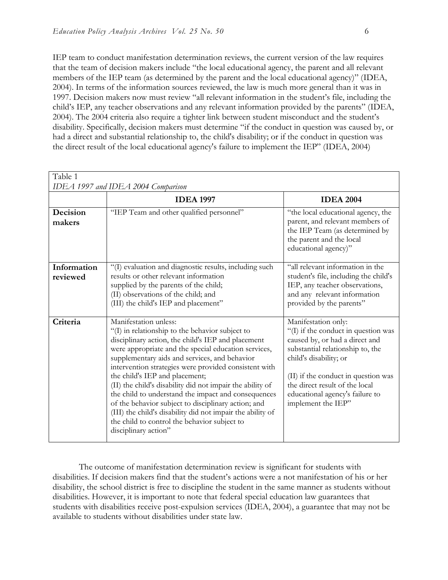IEP team to conduct manifestation determination reviews, the current version of the law requires that the team of decision makers include "the local educational agency, the parent and all relevant members of the IEP team (as determined by the parent and the local educational agency)" (IDEA, 2004). In terms of the information sources reviewed, the law is much more general than it was in 1997. Decision makers now must review "all relevant information in the student's file, including the child's IEP, any teacher observations and any relevant information provided by the parents" (IDEA, 2004). The 2004 criteria also require a tighter link between student misconduct and the student's disability. Specifically, decision makers must determine "if the conduct in question was caused by, or had a direct and substantial relationship to, the child's disability; or if the conduct in question was the direct result of the local educational agency's failure to implement the IEP" (IDEA, 2004)

| Table 1                            |                                                                                                                                                                                                                                                                                                                                                                                                                                                                                                                                                                                                                                                     |                                                                                                                                                                                                                                                                                              |  |  |
|------------------------------------|-----------------------------------------------------------------------------------------------------------------------------------------------------------------------------------------------------------------------------------------------------------------------------------------------------------------------------------------------------------------------------------------------------------------------------------------------------------------------------------------------------------------------------------------------------------------------------------------------------------------------------------------------------|----------------------------------------------------------------------------------------------------------------------------------------------------------------------------------------------------------------------------------------------------------------------------------------------|--|--|
| IDEA 1997 and IDEA 2004 Comparison |                                                                                                                                                                                                                                                                                                                                                                                                                                                                                                                                                                                                                                                     |                                                                                                                                                                                                                                                                                              |  |  |
|                                    | <b>IDEA 1997</b>                                                                                                                                                                                                                                                                                                                                                                                                                                                                                                                                                                                                                                    | <b>IDEA 2004</b>                                                                                                                                                                                                                                                                             |  |  |
| Decision<br>makers                 | "IEP Team and other qualified personnel"                                                                                                                                                                                                                                                                                                                                                                                                                                                                                                                                                                                                            | "the local educational agency, the<br>parent, and relevant members of<br>the IEP Team (as determined by<br>the parent and the local<br>educational agency)"                                                                                                                                  |  |  |
| Information<br>reviewed            | "(I) evaluation and diagnostic results, including such<br>results or other relevant information<br>supplied by the parents of the child;<br>(II) observations of the child; and<br>(III) the child's IEP and placement"                                                                                                                                                                                                                                                                                                                                                                                                                             | "all relevant information in the<br>student's file, including the child's<br>IEP, any teacher observations,<br>and any relevant information<br>provided by the parents"                                                                                                                      |  |  |
| Criteria                           | Manifestation unless:<br>"(I) in relationship to the behavior subject to<br>disciplinary action, the child's IEP and placement<br>were appropriate and the special education services,<br>supplementary aids and services, and behavior<br>intervention strategies were provided consistent with<br>the child's IEP and placement;<br>(II) the child's disability did not impair the ability of<br>the child to understand the impact and consequences<br>of the behavior subject to disciplinary action; and<br>(III) the child's disability did not impair the ability of<br>the child to control the behavior subject to<br>disciplinary action" | Manifestation only:<br>"(I) if the conduct in question was<br>caused by, or had a direct and<br>substantial relationship to, the<br>child's disability; or<br>(II) if the conduct in question was<br>the direct result of the local<br>educational agency's failure to<br>implement the IEP" |  |  |

The outcome of manifestation determination review is significant for students with disabilities. If decision makers find that the student's actions were a not manifestation of his or her disability, the school district is free to discipline the student in the same manner as students without disabilities. However, it is important to note that federal special education law guarantees that students with disabilities receive post-expulsion services (IDEA, 2004), a guarantee that may not be available to students without disabilities under state law.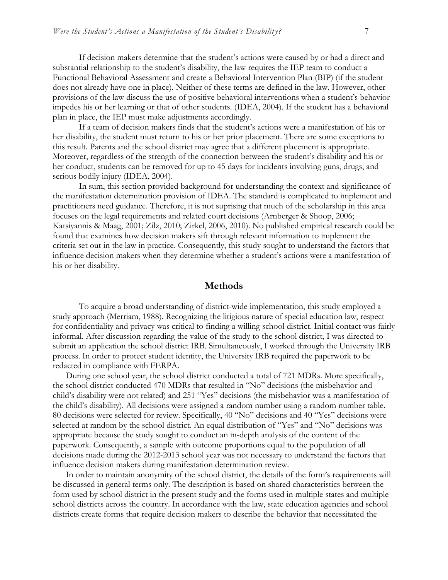If decision makers determine that the student's actions were caused by or had a direct and substantial relationship to the student's disability, the law requires the IEP team to conduct a Functional Behavioral Assessment and create a Behavioral Intervention Plan (BIP) (if the student does not already have one in place). Neither of these terms are defined in the law. However, other provisions of the law discuss the use of positive behavioral interventions when a student's behavior impedes his or her learning or that of other students. (IDEA, 2004). If the student has a behavioral plan in place, the IEP must make adjustments accordingly.

If a team of decision makers finds that the student's actions were a manifestation of his or her disability, the student must return to his or her prior placement. There are some exceptions to this result. Parents and the school district may agree that a different placement is appropriate. Moreover, regardless of the strength of the connection between the student's disability and his or her conduct, students can be removed for up to 45 days for incidents involving guns, drugs, and serious bodily injury (IDEA, 2004).

In sum, this section provided background for understanding the context and significance of the manifestation determination provision of IDEA. The standard is complicated to implement and practitioners need guidance. Therefore, it is not suprising that much of the scholarship in this area focuses on the legal requirements and related court decisions (Arnberger & Shoop, 2006; Katsiyannis & Maag, 2001; Zilz, 2010; Zirkel, 2006, 2010). No published empirical research could be found that examines how decision makers sift through relevant information to implement the criteria set out in the law in practice. Consequently, this study sought to understand the factors that influence decision makers when they determine whether a student's actions were a manifestation of his or her disability.

## **Methods**

To acquire a broad understanding of district-wide implementation, this study employed a study approach (Merriam, 1988). Recognizing the litigious nature of special education law, respect for confidentiality and privacy was critical to finding a willing school district. Initial contact was fairly informal. After discussion regarding the value of the study to the school district, I was directed to submit an application the school district IRB. Simultaneously, I worked through the University IRB process. In order to protect student identity, the University IRB required the paperwork to be redacted in compliance with FERPA.

During one school year, the school district conducted a total of 721 MDRs. More specifically, the school district conducted 470 MDRs that resulted in "No" decisions (the misbehavior and child's disability were not related) and 251 "Yes" decisions (the misbehavior was a manifestation of the child's disability). All decisions were assigned a random number using a random number table. 80 decisions were selected for review. Specifically, 40 "No" decisions and 40 "Yes" decisions were selected at random by the school district. An equal distribution of "Yes" and "No" decisions was appropriate because the study sought to conduct an in-depth analysis of the content of the paperwork. Consequently, a sample with outcome proportions equal to the population of all decisions made during the 2012-2013 school year was not necessary to understand the factors that influence decision makers during manifestation determination review.

In order to maintain anonymity of the school district, the details of the form's requirements will be discussed in general terms only. The description is based on shared characteristics between the form used by school district in the present study and the forms used in multiple states and multiple school districts across the country. In accordance with the law, state education agencies and school districts create forms that require decision makers to describe the behavior that necessitated the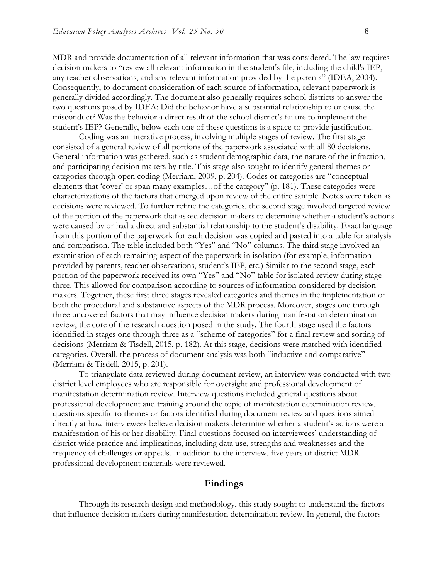MDR and provide documentation of all relevant information that was considered. The law requires decision makers to "review all relevant information in the student's file, including the child's IEP, any teacher observations, and any relevant information provided by the parents" (IDEA, 2004). Consequently, to document consideration of each source of information, relevant paperwork is generally divided accordingly. The document also generally requires school districts to answer the two questions posed by IDEA: Did the behavior have a substantial relationship to or cause the misconduct? Was the behavior a direct result of the school district's failure to implement the student's IEP? Generally, below each one of these questions is a space to provide justification.

Coding was an interative process, involving multiple stages of review. The first stage consisted of a general review of all portions of the paperwork associated with all 80 decisions. General information was gathered, such as student demographic data, the nature of the infraction, and participating decision makers by title. This stage also sought to identify general themes or categories through open coding (Merriam, 2009, p. 204). Codes or categories are "conceptual elements that 'cover' or span many examples…of the category" (p. 181). These categories were characterizations of the factors that emerged upon review of the entire sample. Notes were taken as decisions were reviewed. To further refine the categories, the second stage involved targeted review of the portion of the paperwork that asked decision makers to determine whether a student's actions were caused by or had a direct and substantial relationship to the student's disability. Exact language from this portion of the paperwork for each decision was copied and pasted into a table for analysis and comparison. The table included both "Yes" and "No" columns. The third stage involved an examination of each remaining aspect of the paperwork in isolation (for example, information provided by parents, teacher observations, student's IEP, etc.) Similar to the second stage, each portion of the paperwork received its own "Yes" and "No" table for isolated review during stage three. This allowed for comparison according to sources of information considered by decision makers. Together, these first three stages revealed categories and themes in the implementation of both the procedural and substantive aspects of the MDR process. Moreover, stages one through three uncovered factors that may influence decision makers during manifestation determination review, the core of the research question posed in the study. The fourth stage used the factors identified in stages one through three as a "scheme of categories" for a final review and sorting of decisions (Merriam & Tisdell, 2015, p. 182). At this stage, decisions were matched with identified categories. Overall, the process of document analysis was both "inductive and comparative" (Merriam & Tisdell, 2015, p. 201).

To triangulate data reviewed during document review, an interview was conducted with two district level employees who are responsible for oversight and professional development of manifestation determination review. Interview questions included general questions about professional development and training around the topic of manifestation determination review, questions specific to themes or factors identified during document review and questions aimed directly at how interviewees believe decision makers determine whether a student's actions were a manifestation of his or her disability. Final questions focused on interviewees' understanding of district-wide practice and implications, including data use, strengths and weaknesses and the frequency of challenges or appeals. In addition to the interview, five years of district MDR professional development materials were reviewed.

## **Findings**

Through its research design and methodology, this study sought to understand the factors that influence decision makers during manifestation determination review. In general, the factors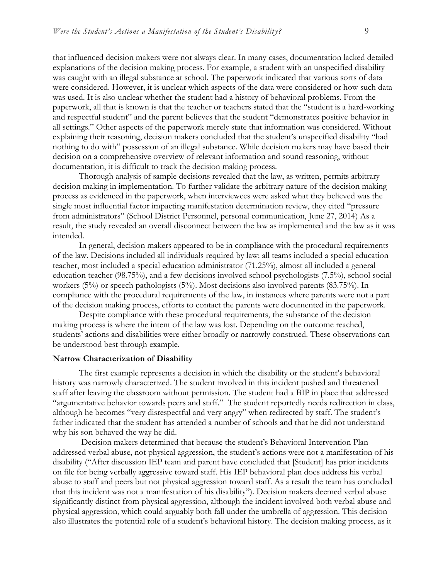that influenced decision makers were not always clear. In many cases, documentation lacked detailed explanations of the decision making process. For example, a student with an unspecified disability was caught with an illegal substance at school. The paperwork indicated that various sorts of data were considered. However, it is unclear which aspects of the data were considered or how such data was used. It is also unclear whether the student had a history of behavioral problems. From the paperwork, all that is known is that the teacher or teachers stated that the "student is a hard-working and respectful student" and the parent believes that the student "demonstrates positive behavior in all settings." Other aspects of the paperwork merely state that information was considered. Without explaining their reasoning, decision makers concluded that the student's unspecified disability "had nothing to do with" possession of an illegal substance. While decision makers may have based their decision on a comprehensive overview of relevant information and sound reasoning, without documentation, it is difficult to track the decision making process.

Thorough analysis of sample decisions revealed that the law, as written, permits arbitrary decision making in implementation. To further validate the arbitrary nature of the decision making process as evidenced in the paperwork, when interviewees were asked what they believed was the single most influential factor impacting manifestation determination review, they cited "pressure from administrators" (School District Personnel, personal communication, June 27, 2014) As a result, the study revealed an overall disconnect between the law as implemented and the law as it was intended.

In general, decision makers appeared to be in compliance with the procedural requirements of the law. Decisions included all individuals required by law: all teams included a special education teacher, most included a special education administrator (71.25%), almost all included a general education teacher (98.75%), and a few decisions involved school psychologists (7.5%), school social workers (5%) or speech pathologists (5%). Most decisions also involved parents (83.75%). In compliance with the procedural requirements of the law, in instances where parents were not a part of the decision making process, efforts to contact the parents were documented in the paperwork.

Despite compliance with these procedural requirements, the substance of the decision making process is where the intent of the law was lost. Depending on the outcome reached, students' actions and disabilities were either broadly or narrowly construed. These observations can be understood best through example.

#### **Narrow Characterization of Disability**

The first example represents a decision in which the disability or the student's behavioral history was narrowly characterized. The student involved in this incident pushed and threatened staff after leaving the classroom without permission. The student had a BIP in place that addressed "argumentative behavior towards peers and staff." The student reportedly needs redirection in class, although he becomes "very disrespectful and very angry" when redirected by staff. The student's father indicated that the student has attended a number of schools and that he did not understand why his son behaved the way he did.

Decision makers determined that because the student's Behavioral Intervention Plan addressed verbal abuse, not physical aggression, the student's actions were not a manifestation of his disability ("After discussion IEP team and parent have concluded that [Student] has prior incidents on file for being verbally aggressive toward staff. His IEP behavioral plan does address his verbal abuse to staff and peers but not physical aggression toward staff. As a result the team has concluded that this incident was not a manifestation of his disability"). Decision makers deemed verbal abuse significantly distinct from physical aggression, although the incident involved both verbal abuse and physical aggression, which could arguably both fall under the umbrella of aggression. This decision also illustrates the potential role of a student's behavioral history. The decision making process, as it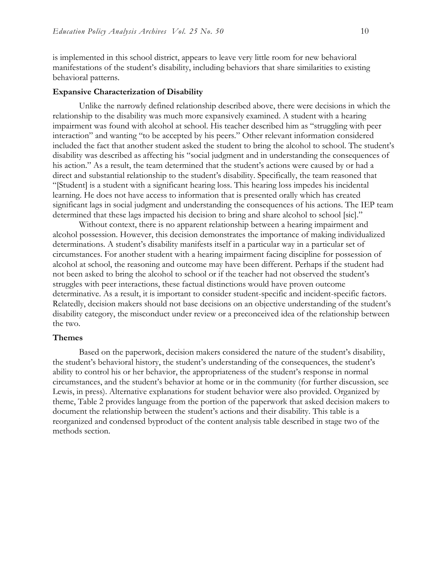is implemented in this school district, appears to leave very little room for new behavioral manifestations of the student's disability, including behaviors that share similarities to existing behavioral patterns.

#### **Expansive Characterization of Disability**

Unlike the narrowly defined relationship described above, there were decisions in which the relationship to the disability was much more expansively examined. A student with a hearing impairment was found with alcohol at school. His teacher described him as "struggling with peer interaction" and wanting "to be accepted by his peers." Other relevant information considered included the fact that another student asked the student to bring the alcohol to school. The student's disability was described as affecting his "social judgment and in understanding the consequences of his action." As a result, the team determined that the student's actions were caused by or had a direct and substantial relationship to the student's disability. Specifically, the team reasoned that "[Student] is a student with a significant hearing loss. This hearing loss impedes his incidental learning. He does not have access to information that is presented orally which has created significant lags in social judgment and understanding the consequences of his actions. The IEP team determined that these lags impacted his decision to bring and share alcohol to school [sic]."

Without context, there is no apparent relationship between a hearing impairment and alcohol possession. However, this decision demonstrates the importance of making individualized determinations. A student's disability manifests itself in a particular way in a particular set of circumstances. For another student with a hearing impairment facing discipline for possession of alcohol at school, the reasoning and outcome may have been different. Perhaps if the student had not been asked to bring the alcohol to school or if the teacher had not observed the student's struggles with peer interactions, these factual distinctions would have proven outcome determinative. As a result, it is important to consider student-specific and incident-specific factors. Relatedly, decision makers should not base decisions on an objective understanding of the student's disability category, the misconduct under review or a preconceived idea of the relationship between the two.

#### **Themes**

Based on the paperwork, decision makers considered the nature of the student's disability, the student's behavioral history, the student's understanding of the consequences, the student's ability to control his or her behavior, the appropriateness of the student's response in normal circumstances, and the student's behavior at home or in the community (for further discussion, see Lewis, in press). Alternative explanations for student behavior were also provided. Organized by theme, Table 2 provides language from the portion of the paperwork that asked decision makers to document the relationship between the student's actions and their disability. This table is a reorganized and condensed byproduct of the content analysis table described in stage two of the methods section.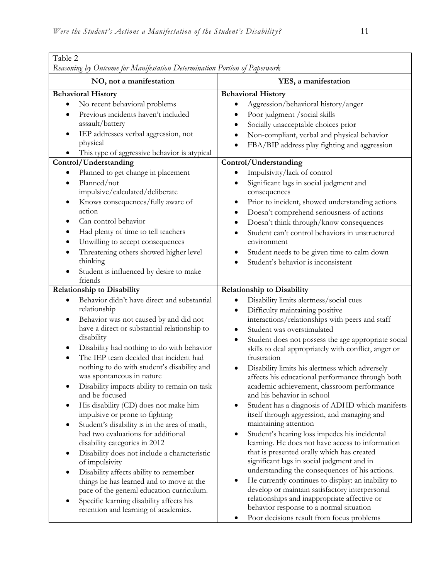| NO, not a manifestation<br>YES, a manifestation<br><b>Behavioral History</b><br><b>Behavioral History</b><br>No recent behavioral problems<br>Aggression/behavioral history/anger<br>$\bullet$<br>٠<br>Previous incidents haven't included<br>Poor judgment / social skills<br>٠<br>assault/battery<br>Socially unacceptable choices prior<br>$\bullet$<br>IEP addresses verbal aggression, not<br>Non-compliant, verbal and physical behavior<br>physical<br>FBA/BIP address play fighting and aggression<br>This type of aggressive behavior is atypical<br>Control/Understanding<br>Control/Understanding<br>Planned to get change in placement<br>Impulsivity/lack of control<br>Planned/not<br>Significant lags in social judgment and<br>$\bullet$<br>$\bullet$<br>impulsive/calculated/deliberate<br>consequences<br>Knows consequences/fully aware of<br>Prior to incident, showed understanding actions<br>٠<br>action<br>Doesn't comprehend seriousness of actions<br>٠<br>Can control behavior<br>Doesn't think through/know consequences<br>$\bullet$<br>Had plenty of time to tell teachers<br>Student can't control behaviors in unstructured<br>٠<br>Unwilling to accept consequences<br>environment<br>٠<br>Threatening others showed higher level<br>Student needs to be given time to calm down<br>٠<br>thinking<br>Student's behavior is inconsistent<br>Student is influenced by desire to make<br>friends<br><b>Relationship to Disability</b><br><b>Relationship to Disability</b><br>Behavior didn't have direct and substantial<br>Disability limits alertness/social cues<br>$\bullet$<br>relationship<br>Difficulty maintaining positive<br>$\bullet$<br>interactions/relationships with peers and staff<br>Behavior was not caused by and did not<br>$\bullet$<br>have a direct or substantial relationship to<br>Student was overstimulated<br>$\bullet$<br>disability<br>Student does not possess the age appropriate social<br>$\bullet$<br>Disability had nothing to do with behavior<br>skills to deal appropriately with conflict, anger or<br>The IEP team decided that incident had<br>frustration<br>nothing to do with student's disability and<br>Disability limits his alertness which adversely<br>$\bullet$<br>was spontaneous in nature<br>affects his educational performance through both<br>Disability impacts ability to remain on task<br>academic achievement, classroom performance<br>and be focused<br>and his behavior in school<br>Student has a diagnosis of ADHD which manifests<br>His disability (CD) does not make him<br>٠<br>impulsive or prone to fighting<br>itself through aggression, and managing and<br>maintaining attention<br>Student's disability is in the area of math,<br>had two evaluations for additional<br>Student's hearing loss impedes his incidental<br>٠ | Table 2                                                                   |                                                  |  |  |  |
|---------------------------------------------------------------------------------------------------------------------------------------------------------------------------------------------------------------------------------------------------------------------------------------------------------------------------------------------------------------------------------------------------------------------------------------------------------------------------------------------------------------------------------------------------------------------------------------------------------------------------------------------------------------------------------------------------------------------------------------------------------------------------------------------------------------------------------------------------------------------------------------------------------------------------------------------------------------------------------------------------------------------------------------------------------------------------------------------------------------------------------------------------------------------------------------------------------------------------------------------------------------------------------------------------------------------------------------------------------------------------------------------------------------------------------------------------------------------------------------------------------------------------------------------------------------------------------------------------------------------------------------------------------------------------------------------------------------------------------------------------------------------------------------------------------------------------------------------------------------------------------------------------------------------------------------------------------------------------------------------------------------------------------------------------------------------------------------------------------------------------------------------------------------------------------------------------------------------------------------------------------------------------------------------------------------------------------------------------------------------------------------------------------------------------------------------------------------------------------------------------------------------------------------------------------------------------------------------------------------------------------------------------------------------------------------------------------------------------------------------------------------------------------------------------------------------------------------------|---------------------------------------------------------------------------|--------------------------------------------------|--|--|--|
|                                                                                                                                                                                                                                                                                                                                                                                                                                                                                                                                                                                                                                                                                                                                                                                                                                                                                                                                                                                                                                                                                                                                                                                                                                                                                                                                                                                                                                                                                                                                                                                                                                                                                                                                                                                                                                                                                                                                                                                                                                                                                                                                                                                                                                                                                                                                                                                                                                                                                                                                                                                                                                                                                                                                                                                                                                             | Reasoning by Outcome for Manifestation Determination Portion of Paperwork |                                                  |  |  |  |
|                                                                                                                                                                                                                                                                                                                                                                                                                                                                                                                                                                                                                                                                                                                                                                                                                                                                                                                                                                                                                                                                                                                                                                                                                                                                                                                                                                                                                                                                                                                                                                                                                                                                                                                                                                                                                                                                                                                                                                                                                                                                                                                                                                                                                                                                                                                                                                                                                                                                                                                                                                                                                                                                                                                                                                                                                                             |                                                                           |                                                  |  |  |  |
|                                                                                                                                                                                                                                                                                                                                                                                                                                                                                                                                                                                                                                                                                                                                                                                                                                                                                                                                                                                                                                                                                                                                                                                                                                                                                                                                                                                                                                                                                                                                                                                                                                                                                                                                                                                                                                                                                                                                                                                                                                                                                                                                                                                                                                                                                                                                                                                                                                                                                                                                                                                                                                                                                                                                                                                                                                             |                                                                           |                                                  |  |  |  |
|                                                                                                                                                                                                                                                                                                                                                                                                                                                                                                                                                                                                                                                                                                                                                                                                                                                                                                                                                                                                                                                                                                                                                                                                                                                                                                                                                                                                                                                                                                                                                                                                                                                                                                                                                                                                                                                                                                                                                                                                                                                                                                                                                                                                                                                                                                                                                                                                                                                                                                                                                                                                                                                                                                                                                                                                                                             |                                                                           |                                                  |  |  |  |
|                                                                                                                                                                                                                                                                                                                                                                                                                                                                                                                                                                                                                                                                                                                                                                                                                                                                                                                                                                                                                                                                                                                                                                                                                                                                                                                                                                                                                                                                                                                                                                                                                                                                                                                                                                                                                                                                                                                                                                                                                                                                                                                                                                                                                                                                                                                                                                                                                                                                                                                                                                                                                                                                                                                                                                                                                                             |                                                                           |                                                  |  |  |  |
| that is presented orally which has created<br>Disability does not include a characteristic<br>significant lags in social judgment and in<br>of impulsivity<br>understanding the consequences of his actions.<br>Disability affects ability to remember<br>He currently continues to display: an inability to<br>things he has learned and to move at the<br>$\bullet$<br>develop or maintain satisfactory interpersonal<br>pace of the general education curriculum.<br>relationships and inappropriate affective or<br>Specific learning disability affects his<br>behavior response to a normal situation<br>retention and learning of academics.                                                                                                                                                                                                                                                                                                                                                                                                                                                                                                                                                                                                                                                                                                                                                                                                                                                                                                                                                                                                                                                                                                                                                                                                                                                                                                                                                                                                                                                                                                                                                                                                                                                                                                                                                                                                                                                                                                                                                                                                                                                                                                                                                                                         | disability categories in 2012                                             | learning. He does not have access to information |  |  |  |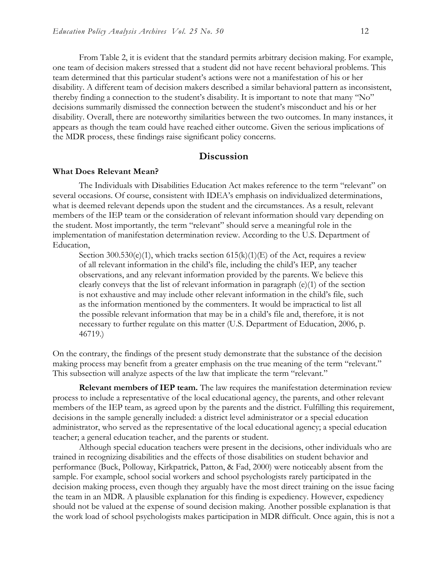From Table 2, it is evident that the standard permits arbitrary decision making. For example, one team of decision makers stressed that a student did not have recent behavioral problems. This team determined that this particular student's actions were not a manifestation of his or her disability. A different team of decision makers described a similar behavioral pattern as inconsistent, thereby finding a connection to the student's disability. It is important to note that many "No" decisions summarily dismissed the connection between the student's misconduct and his or her disability. Overall, there are noteworthy similarities between the two outcomes. In many instances, it appears as though the team could have reached either outcome. Given the serious implications of the MDR process, these findings raise significant policy concerns.

## **Discussion**

#### **What Does Relevant Mean?**

The Individuals with Disabilities Education Act makes reference to the term "relevant" on several occasions. Of course, consistent with IDEA's emphasis on individualized determinations, what is deemed relevant depends upon the student and the circumstances. As a result, relevant members of the IEP team or the consideration of relevant information should vary depending on the student. Most importantly, the term "relevant" should serve a meaningful role in the implementation of manifestation determination review. According to the U.S. Department of Education,

Section  $300.530(e)(1)$ , which tracks section  $615(k)(1)(E)$  of the Act, requires a review of all relevant information in the child's file, including the child's IEP, any teacher observations, and any relevant information provided by the parents. We believe this clearly conveys that the list of relevant information in paragraph  $(e)(1)$  of the section is not exhaustive and may include other relevant information in the child's file, such as the information mentioned by the commenters. It would be impractical to list all the possible relevant information that may be in a child's file and, therefore, it is not necessary to further regulate on this matter (U.S. Department of Education, 2006, p. 46719.)

On the contrary, the findings of the present study demonstrate that the substance of the decision making process may benefit from a greater emphasis on the true meaning of the term "relevant." This subsection will analyze aspects of the law that implicate the term "relevant."

**Relevant members of IEP team.** The law requires the manifestation determination review process to include a representative of the local educational agency, the parents, and other relevant members of the IEP team, as agreed upon by the parents and the district. Fulfilling this requirement, decisions in the sample generally included: a district level administrator or a special education administrator, who served as the representative of the local educational agency; a special education teacher; a general education teacher, and the parents or student.

Although special education teachers were present in the decisions, other individuals who are trained in recognizing disabilities and the effects of those disabilities on student behavior and performance (Buck, Polloway, Kirkpatrick, Patton, & Fad, 2000) were noticeably absent from the sample. For example, school social workers and school psychologists rarely participated in the decision making process, even though they arguably have the most direct training on the issue facing the team in an MDR. A plausible explanation for this finding is expediency. However, expediency should not be valued at the expense of sound decision making. Another possible explanation is that the work load of school psychologists makes participation in MDR difficult. Once again, this is not a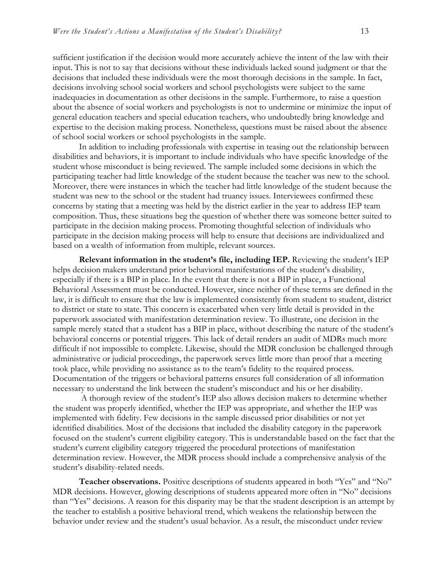sufficient justification if the decision would more accurately achieve the intent of the law with their input. This is not to say that decisions without these individuals lacked sound judgment or that the decisions that included these individuals were the most thorough decisions in the sample. In fact, decisions involving school social workers and school psychologists were subject to the same inadequacies in documentation as other decisions in the sample. Furthermore, to raise a question about the absence of social workers and psychologists is not to undermine or minimize the input of general education teachers and special education teachers, who undoubtedly bring knowledge and expertise to the decision making process. Nonetheless, questions must be raised about the absence of school social workers or school psychologists in the sample.

In addition to including professionals with expertise in teasing out the relationship between disabilities and behaviors, it is important to include individuals who have specific knowledge of the student whose misconduct is being reviewed. The sample included some decisions in which the participating teacher had little knowledge of the student because the teacher was new to the school. Moreover, there were instances in which the teacher had little knowledge of the student because the student was new to the school or the student had truancy issues. Interviewees confirmed these concerns by stating that a meeting was held by the district earlier in the year to address IEP team composition. Thus, these situations beg the question of whether there was someone better suited to participate in the decision making process. Promoting thoughtful selection of individuals who participate in the decision making process will help to ensure that decisions are individualized and based on a wealth of information from multiple, relevant sources.

**Relevant information in the student's file, including IEP.** Reviewing the student's IEP helps decision makers understand prior behavioral manifestations of the student's disability, especially if there is a BIP in place. In the event that there is not a BIP in place, a Functional Behavioral Assessment must be conducted. However, since neither of these terms are defined in the law, it is difficult to ensure that the law is implemented consistently from student to student, district to district or state to state. This concern is exacerbated when very little detail is provided in the paperwork associated with manifestation determination review. To illustrate, one decision in the sample merely stated that a student has a BIP in place, without describing the nature of the student's behavioral concerns or potential triggers. This lack of detail renders an audit of MDRs much more difficult if not impossible to complete. Likewise, should the MDR conclusion be challenged through administrative or judicial proceedings, the paperwork serves little more than proof that a meeting took place, while providing no assistance as to the team's fidelity to the required process. Documentation of the triggers or behavioral patterns ensures full consideration of all information necessary to understand the link between the student's misconduct and his or her disability.

A thorough review of the student's IEP also allows decision makers to determine whether the student was properly identified, whether the IEP was appropriate, and whether the IEP was implemented with fidelity. Few decisions in the sample discussed prior disabilities or not yet identified disabilities. Most of the decisions that included the disability category in the paperwork focused on the student's current eligibility category. This is understandable based on the fact that the student's current eligibility category triggered the procedural protections of manifestation determination review. However, the MDR process should include a comprehensive analysis of the student's disability-related needs.

**Teacher observations.** Positive descriptions of students appeared in both "Yes" and "No" MDR decisions. However, glowing descriptions of students appeared more often in "No" decisions than "Yes" decisions. A reason for this disparity may be that the student description is an attempt by the teacher to establish a positive behavioral trend, which weakens the relationship between the behavior under review and the student's usual behavior. As a result, the misconduct under review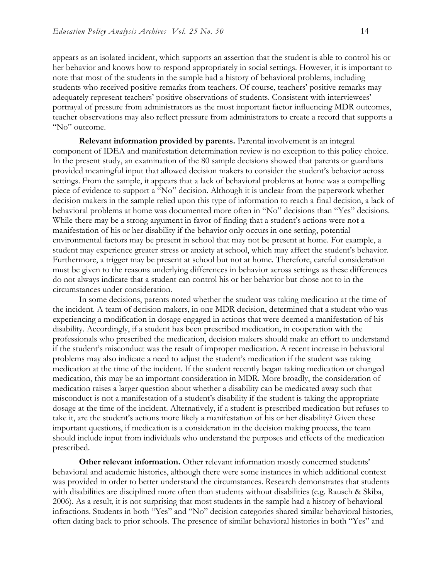appears as an isolated incident, which supports an assertion that the student is able to control his or her behavior and knows how to respond appropriately in social settings. However, it is important to note that most of the students in the sample had a history of behavioral problems, including students who received positive remarks from teachers. Of course, teachers' positive remarks may adequately represent teachers' positive observations of students. Consistent with interviewees' portrayal of pressure from administrators as the most important factor influencing MDR outcomes, teacher observations may also reflect pressure from administrators to create a record that supports a "No" outcome.

**Relevant information provided by parents.** Parental involvement is an integral component of IDEA and manifestation determination review is no exception to this policy choice. In the present study, an examination of the 80 sample decisions showed that parents or guardians provided meaningful input that allowed decision makers to consider the student's behavior across settings. From the sample, it appears that a lack of behavioral problems at home was a compelling piece of evidence to support a "No" decision. Although it is unclear from the paperwork whether decision makers in the sample relied upon this type of information to reach a final decision, a lack of behavioral problems at home was documented more often in "No" decisions than "Yes" decisions. While there may be a strong argument in favor of finding that a student's actions were not a manifestation of his or her disability if the behavior only occurs in one setting, potential environmental factors may be present in school that may not be present at home. For example, a student may experience greater stress or anxiety at school, which may affect the student's behavior. Furthermore, a trigger may be present at school but not at home. Therefore, careful consideration must be given to the reasons underlying differences in behavior across settings as these differences do not always indicate that a student can control his or her behavior but chose not to in the circumstances under consideration.

In some decisions, parents noted whether the student was taking medication at the time of the incident. A team of decision makers, in one MDR decision, determined that a student who was experiencing a modification in dosage engaged in actions that were deemed a manifestation of his disability. Accordingly, if a student has been prescribed medication, in cooperation with the professionals who prescribed the medication, decision makers should make an effort to understand if the student's misconduct was the result of improper medication. A recent increase in behavioral problems may also indicate a need to adjust the student's medication if the student was taking medication at the time of the incident. If the student recently began taking medication or changed medication, this may be an important consideration in MDR. More broadly, the consideration of medication raises a larger question about whether a disability can be medicated away such that misconduct is not a manifestation of a student's disability if the student is taking the appropriate dosage at the time of the incident. Alternatively, if a student is prescribed medication but refuses to take it, are the student's actions more likely a manifestation of his or her disability? Given these important questions, if medication is a consideration in the decision making process, the team should include input from individuals who understand the purposes and effects of the medication prescribed.

**Other relevant information.** Other relevant information mostly concerned students' behavioral and academic histories, although there were some instances in which additional context was provided in order to better understand the circumstances. Research demonstrates that students with disabilities are disciplined more often than students without disabilities (e.g. Rausch & Skiba, 2006). As a result, it is not surprising that most students in the sample had a history of behavioral infractions. Students in both "Yes" and "No" decision categories shared similar behavioral histories, often dating back to prior schools. The presence of similar behavioral histories in both "Yes" and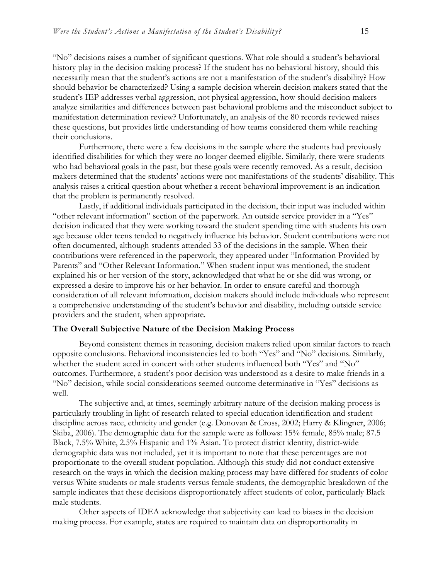"No" decisions raises a number of significant questions. What role should a student's behavioral history play in the decision making process? If the student has no behavioral history, should this necessarily mean that the student's actions are not a manifestation of the student's disability? How should behavior be characterized? Using a sample decision wherein decision makers stated that the student's IEP addresses verbal aggression, not physical aggression, how should decision makers analyze similarities and differences between past behavioral problems and the misconduct subject to manifestation determination review? Unfortunately, an analysis of the 80 records reviewed raises these questions, but provides little understanding of how teams considered them while reaching their conclusions.

Furthermore, there were a few decisions in the sample where the students had previously identified disabilities for which they were no longer deemed eligible. Similarly, there were students who had behavioral goals in the past, but these goals were recently removed. As a result, decision makers determined that the students' actions were not manifestations of the students' disability. This analysis raises a critical question about whether a recent behavioral improvement is an indication that the problem is permanently resolved.

Lastly, if additional individuals participated in the decision, their input was included within "other relevant information" section of the paperwork. An outside service provider in a "Yes" decision indicated that they were working toward the student spending time with students his own age because older teens tended to negatively influence his behavior. Student contributions were not often documented, although students attended 33 of the decisions in the sample. When their contributions were referenced in the paperwork, they appeared under "Information Provided by Parents" and "Other Relevant Information." When student input was mentioned, the student explained his or her version of the story, acknowledged that what he or she did was wrong, or expressed a desire to improve his or her behavior. In order to ensure careful and thorough consideration of all relevant information, decision makers should include individuals who represent a comprehensive understanding of the student's behavior and disability, including outside service providers and the student, when appropriate.

#### **The Overall Subjective Nature of the Decision Making Process**

Beyond consistent themes in reasoning, decision makers relied upon similar factors to reach opposite conclusions. Behavioral inconsistencies led to both "Yes" and "No" decisions. Similarly, whether the student acted in concert with other students influenced both "Yes" and "No" outcomes. Furthermore, a student's poor decision was understood as a desire to make friends in a "No" decision, while social considerations seemed outcome determinative in "Yes" decisions as well.

The subjective and, at times, seemingly arbitrary nature of the decision making process is particularly troubling in light of research related to special education identification and student discipline across race, ethnicity and gender (e.g. Donovan & Cross, 2002; Harry & Klingner, 2006; Skiba, 2006). The demographic data for the sample were as follows: 15% female, 85% male; 87.5 Black, 7.5% White, 2.5% Hispanic and 1% Asian. To protect district identity, district-wide demographic data was not included, yet it is important to note that these percentages are not proportionate to the overall student population. Although this study did not conduct extensive research on the ways in which the decision making process may have differed for students of color versus White students or male students versus female students, the demographic breakdown of the sample indicates that these decisions disproportionately affect students of color, particularly Black male students.

Other aspects of IDEA acknowledge that subjectivity can lead to biases in the decision making process. For example, states are required to maintain data on disproportionality in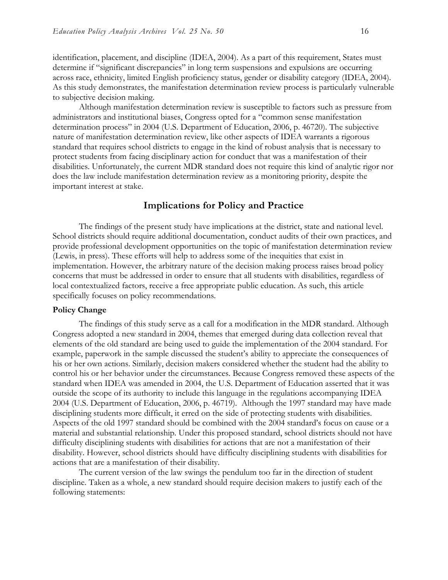identification, placement, and discipline (IDEA, 2004). As a part of this requirement, States must determine if "significant discrepancies" in long term suspensions and expulsions are occurring across race, ethnicity, limited English proficiency status, gender or disability category (IDEA, 2004). As this study demonstrates, the manifestation determination review process is particularly vulnerable to subjective decision making.

Although manifestation determination review is susceptible to factors such as pressure from administrators and institutional biases, Congress opted for a "common sense manifestation determination process" in 2004 (U.S. Department of Education, 2006, p. 46720). The subjective nature of manifestation determination review, like other aspects of IDEA warrants a rigorous standard that requires school districts to engage in the kind of robust analysis that is necessary to protect students from facing disciplinary action for conduct that was a manifestation of their disabilities. Unfortunately, the current MDR standard does not require this kind of analytic rigor nor does the law include manifestation determination review as a monitoring priority, despite the important interest at stake.

## **Implications for Policy and Practice**

The findings of the present study have implications at the district, state and national level. School districts should require additional documentation, conduct audits of their own practices, and provide professional development opportunities on the topic of manifestation determination review (Lewis, in press). These efforts will help to address some of the inequities that exist in implementation. However, the arbitrary nature of the decision making process raises broad policy concerns that must be addressed in order to ensure that all students with disabilities, regardless of local contextualized factors, receive a free appropriate public education. As such, this article specifically focuses on policy recommendations.

## **Policy Change**

The findings of this study serve as a call for a modification in the MDR standard. Although Congress adopted a new standard in 2004, themes that emerged during data collection reveal that elements of the old standard are being used to guide the implementation of the 2004 standard. For example, paperwork in the sample discussed the student's ability to appreciate the consequences of his or her own actions. Similarly, decision makers considered whether the student had the ability to control his or her behavior under the circumstances. Because Congress removed these aspects of the standard when IDEA was amended in 2004, the U.S. Department of Education asserted that it was outside the scope of its authority to include this language in the regulations accompanying IDEA 2004 (U.S. Department of Education, 2006, p. 46719). Although the 1997 standard may have made disciplining students more difficult, it erred on the side of protecting students with disabilities. Aspects of the old 1997 standard should be combined with the 2004 standard's focus on cause or a material and substantial relationship. Under this proposed standard, school districts should not have difficulty disciplining students with disabilities for actions that are not a manifestation of their disability. However, school districts should have difficulty disciplining students with disabilities for actions that are a manifestation of their disability.

The current version of the law swings the pendulum too far in the direction of student discipline. Taken as a whole, a new standard should require decision makers to justify each of the following statements: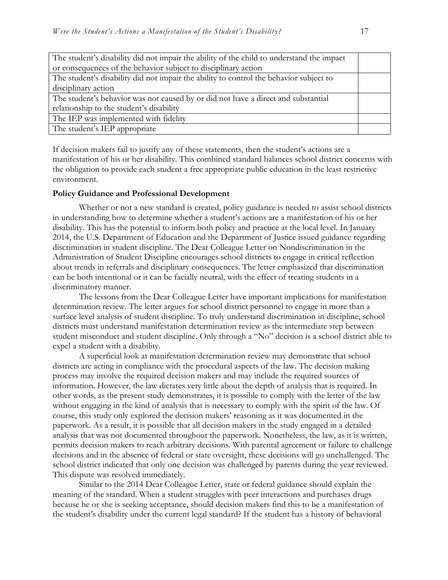| The student's disability did not impair the ability of the child to understand the impact |  |  |
|-------------------------------------------------------------------------------------------|--|--|
| or consequences of the behavior subject to disciplinary action                            |  |  |
| The student's disability did not impair the ability to control the behavior subject to    |  |  |
| disciplinary action                                                                       |  |  |
| The student's behavior was not caused by or did not have a direct and substantial         |  |  |
| relationship to the student's disability                                                  |  |  |
| The IEP was implemented with fidelity                                                     |  |  |
| The student's IEP appropriate                                                             |  |  |

If decision makers fail to justify any of these statements, then the student's actions are a manifestation of his or her disability. This combined standard balances school district concerns with the obligation to provide each student a free appropriate public education in the least restrictive environment.

#### **Policy Guidance and Professional Development**

Whether or not a new standard is created, policy guidance is needed to assist school districts in understanding how to determine whether a student's actions are a manifestation of his or her disability. This has the potential to inform both policy and practice at the local level. In January 2014, the U.S. Department of Education and the Department of Justice issued guidance regarding discrimination in student discipline. The Dear Colleague Letter on Nondiscrimination in the Administration of Student Discipline encourages school districts to engage in critical reflection about trends in referrals and disciplinary consequences. The letter emphasized that discrimination can be both intentional or it can be facially neutral, with the effect of treating students in a discriminatory manner.

The lessons from the Dear Colleague Letter have important implications for manifestation determination review. The letter argues for school district personnel to engage in more than a surface level analysis of student discipline. To truly understand discrimination in discipline, school districts must understand manifestation determination review as the intermediate step between student misconduct and student discipline. Only through a "No" decision is a school district able to expel a student with a disability.

A superficial look at manifestation determination review may demonstrate that school districts are acting in compliance with the procedural aspects of the law. The decision making process may involve the required decision makers and may include the required sources of information. However, the law dictates very little about the depth of analysis that is required. In other words, as the present study demonstrates, it is possible to comply with the letter of the law without engaging in the kind of analysis that is necessary to comply with the spirit of the law. Of course, this study only explored the decision makers' reasoning as it was documented in the paperwork. As a result, it is possible that all decision makers in the study engaged in a detailed analysis that was not documented throughout the paperwork. Nonetheless, the law, as it is written, permits decision makers to reach arbitrary decisions. With parental agreement or failure to challenge decisions and in the absence of federal or state oversight, these decisions will go unchallenged. The school district indicated that only one decision was challenged by parents during the year reviewed. This dispute was resolved immediately.

Similar to the 2014 Dear Colleague Letter, state or federal guidance should explain the meaning of the standard. When a student struggles with peer interactions and purchases drugs because he or she is seeking acceptance, should decision makers find this to be a manifestation of the student's disability under the current legal standard? If the student has a history of behavioral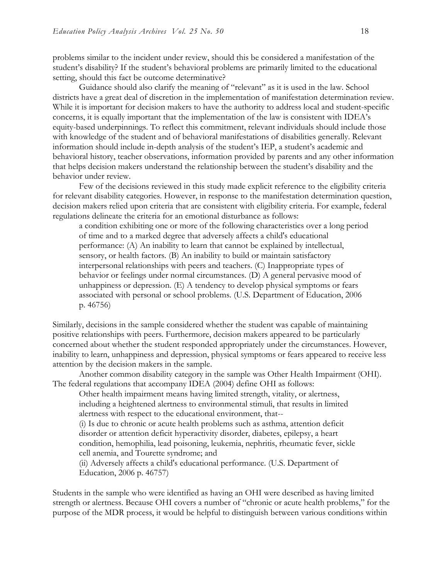problems similar to the incident under review, should this be considered a manifestation of the student's disability? If the student's behavioral problems are primarily limited to the educational setting, should this fact be outcome determinative?

Guidance should also clarify the meaning of "relevant" as it is used in the law. School districts have a great deal of discretion in the implementation of manifestation determination review. While it is important for decision makers to have the authority to address local and student-specific concerns, it is equally important that the implementation of the law is consistent with IDEA's equity-based underpinnings. To reflect this commitment, relevant individuals should include those with knowledge of the student and of behavioral manifestations of disabilities generally. Relevant information should include in-depth analysis of the student's IEP, a student's academic and behavioral history, teacher observations, information provided by parents and any other information that helps decision makers understand the relationship between the student's disability and the behavior under review.

Few of the decisions reviewed in this study made explicit reference to the eligibility criteria for relevant disability categories. However, in response to the manifestation determination question, decision makers relied upon criteria that are consistent with eligibility criteria. For example, federal regulations delineate the criteria for an emotional disturbance as follows:

a condition exhibiting one or more of the following characteristics over a long period of time and to a marked degree that adversely affects a child's educational performance: (A) An inability to learn that cannot be explained by intellectual, sensory, or health factors. (B) An inability to build or maintain satisfactory interpersonal relationships with peers and teachers. (C) Inappropriate types of behavior or feelings under normal circumstances. (D) A general pervasive mood of unhappiness or depression. (E) A tendency to develop physical symptoms or fears associated with personal or school problems. (U.S. Department of Education, 2006 p. 46756)

Similarly, decisions in the sample considered whether the student was capable of maintaining positive relationships with peers. Furthermore, decision makers appeared to be particularly concerned about whether the student responded appropriately under the circumstances. However, inability to learn, unhappiness and depression, physical symptoms or fears appeared to receive less attention by the decision makers in the sample.

Another common disability category in the sample was Other Health Impairment (OHI). The federal regulations that accompany IDEA (2004) define OHI as follows:

Other health impairment means having limited strength, vitality, or alertness, including a heightened alertness to environmental stimuli, that results in limited alertness with respect to the educational environment, that--

(i) Is due to chronic or acute health problems such as asthma, attention deficit disorder or attention deficit hyperactivity disorder, diabetes, epilepsy, a heart condition, hemophilia, lead poisoning, leukemia, nephritis, rheumatic fever, sickle cell anemia, and Tourette syndrome; and

(ii) Adversely affects a child's educational performance. (U.S. Department of Education, 2006 p. 46757)

Students in the sample who were identified as having an OHI were described as having limited strength or alertness. Because OHI covers a number of "chronic or acute health problems," for the purpose of the MDR process, it would be helpful to distinguish between various conditions within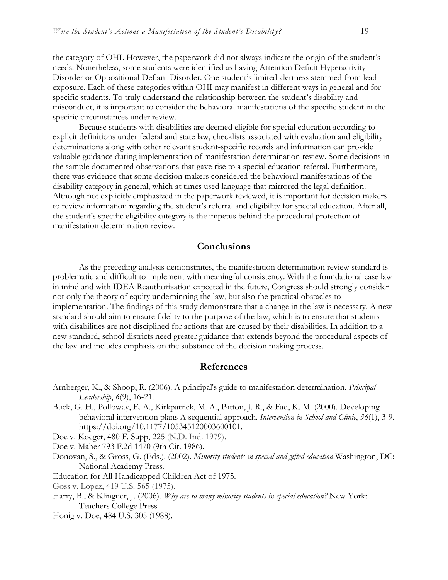the category of OHI. However, the paperwork did not always indicate the origin of the student's needs. Nonetheless, some students were identified as having Attention Deficit Hyperactivity Disorder or Oppositional Defiant Disorder. One student's limited alertness stemmed from lead exposure. Each of these categories within OHI may manifest in different ways in general and for specific students. To truly understand the relationship between the student's disability and misconduct, it is important to consider the behavioral manifestations of the specific student in the specific circumstances under review.

Because students with disabilities are deemed eligible for special education according to explicit definitions under federal and state law, checklists associated with evaluation and eligibility determinations along with other relevant student-specific records and information can provide valuable guidance during implementation of manifestation determination review. Some decisions in the sample documented observations that gave rise to a special education referral. Furthermore, there was evidence that some decision makers considered the behavioral manifestations of the disability category in general, which at times used language that mirrored the legal definition. Although not explicitly emphasized in the paperwork reviewed, it is important for decision makers to review information regarding the student's referral and eligibility for special education. After all, the student's specific eligibility category is the impetus behind the procedural protection of manifestation determination review.

## **Conclusions**

As the preceding analysis demonstrates, the manifestation determination review standard is problematic and difficult to implement with meaningful consistency. With the foundational case law in mind and with IDEA Reauthorization expected in the future, Congress should strongly consider not only the theory of equity underpinning the law, but also the practical obstacles to implementation. The findings of this study demonstrate that a change in the law is necessary. A new standard should aim to ensure fidelity to the purpose of the law, which is to ensure that students with disabilities are not disciplined for actions that are caused by their disabilities. In addition to a new standard, school districts need greater guidance that extends beyond the procedural aspects of the law and includes emphasis on the substance of the decision making process.

## **References**

- Arnberger, K., & Shoop, R. (2006). A principal's guide to manifestation determination. *Principal Leadership*, *6*(9), 16-21.
- Buck, G. H., Polloway, E. A., Kirkpatrick, M. A., Patton, J. R., & Fad, K. M. (2000). Developing behavioral intervention plans A sequential approach. *Intervention in School and Clinic*, *36*(1), 3-9. https://doi.org/10.1177/105345120003600101.

Doe v. Koeger, 480 F. Supp, 225 (N.D. Ind. 1979).

Doe v. Maher 793 F.2d 1470 (9th Cir. 1986).

- Donovan, S., & Gross, G. (Eds.). (2002). *Minority students in special and gifted education*.Washington, DC: National Academy Press.
- Education for All Handicapped Children Act of 1975.
- Goss v. Lopez, 419 U.S. 565 (1975).
- Harry, B., & Klingner, J. (2006). *Why are so many minority students in special education?* New York: Teachers College Press.

Honig v. Doe, 484 U.S. 305 (1988).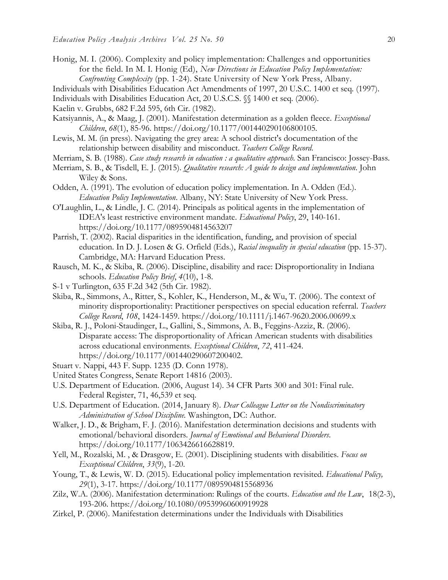- Honig, M. I. (2006). Complexity and policy implementation: Challenges and opportunities for the field. In M. I. Honig (Ed), *New Directions in Education Policy Implementation: Confronting Complexity* (pp. 1-24). State University of New York Press, Albany.
- Individuals with Disabilities Education Act Amendments of 1997, 20 U.S.C. 1400 et seq. (1997).
- Individuals with Disabilities Education Act, 20 U.S.C.S. §§ 1400 et seq. (2006).

Kaelin v. Grubbs, 682 F.2d 595, 6th Cir. (1982).

- Katsiyannis, A., & Maag, J. (2001). Manifestation determination as a golden fleece. *Exceptional Children*, *68*(1), 85-96. https://doi.org/10.1177/001440290106800105.
- Lewis, M. M. (in press). Navigating the grey area: A school district's documentation of the relationship between disability and misconduct. *Teachers College Record*.
- Merriam, S. B. (1988). *Case study research in education : a qualitative approach.* San Francisco: Jossey-Bass.
- Merriam, S. B., & Tisdell, E. J. (2015). *Qualitative research: A guide to design and implementation*. John Wiley & Sons.
- Odden, A. (1991). The evolution of education policy implementation. In A. Odden (Ed.). *Education Policy Implementation*. Albany, NY: State University of New York Press.
- O'Laughlin, L., & Lindle, J. C. (2014). Principals as political agents in the implementation of IDEA's least restrictive environment mandate. *Educational Policy*, 29, 140-161. https://doi.org[/10.1177/0895904814563207](https://doi.org/10.1177/0895904814563207)
- Parrish, T. (2002). Racial disparities in the identification, funding, and provision of special education. In D. J. Losen & G. Orfield (Eds.), *Racial inequality in special education* (pp. 15-37). Cambridge, MA: Harvard Education Press.
- Rausch, M. K., & Skiba, R. (2006). Discipline, disability and race: Disproportionality in Indiana schools. *Education Policy Brief*, *4*(10), 1-8.
- S-1 v Turlington, 635 F.2d 342 (5th Cir. 1982).
- Skiba, R., Simmons, A., Ritter, S., Kohler, K., Henderson, M., & Wu, T. (2006). The context of minority disproportionality: Practitioner perspectives on special education referral. *Teachers College Record*, *108*, 1424-1459. https://doi.org/10.1111/j.1467-9620.2006.00699.x
- Skiba, R. J., Poloni-Staudinger, L., Gallini, S., Simmons, A. B., Feggins-Azziz, R. (2006). Disparate access: The disproportionality of African American students with disabilities across educational environments. *Exceptional Children*, *72*, 411-424. https://doi.org/10.1177/001440290607200402.
- Stuart v. Nappi, 443 F. Supp. 1235 (D. Conn 1978).
- United States Congress, Senate Report 14816 (2003).
- U.S. Department of Education. (2006, August 14). 34 CFR Parts 300 and 301: Final rule. Federal Register, 71, 46,539 et seq.
- U.S. Department of Education. (2014, January 8). *Dear Colleague Letter on the Nondiscriminatory Administration of School Discipline.* Washington, DC: Author.
- Walker, J. D., & Brigham, F. J. (2016). Manifestation determination decisions and students with emotional/behavioral disorders. *Journal of Emotional and Behavioral Disorders*. https://doi.org/10.1177/1063426616628819.
- Yell, M., Rozalski, M. , & Drasgow, E. (2001). Disciplining students with disabilities. *Focus on Exceptional Children*, *33*(9), 1-20.
- Young, T., & Lewis, W. D. (2015). Educational policy implementation revisited. *Educational Policy, 29*(1), 3-17. https://doi.org/10.1177/0895904815568936
- Zilz, W.A. (2006). Manifestation determination: Rulings of the courts. *Education and the Law*, 18(2-3), 193-206. https://doi.org/10.1080/09539960600919928
- Zirkel, P. (2006). Manifestation determinations under the Individuals with Disabilities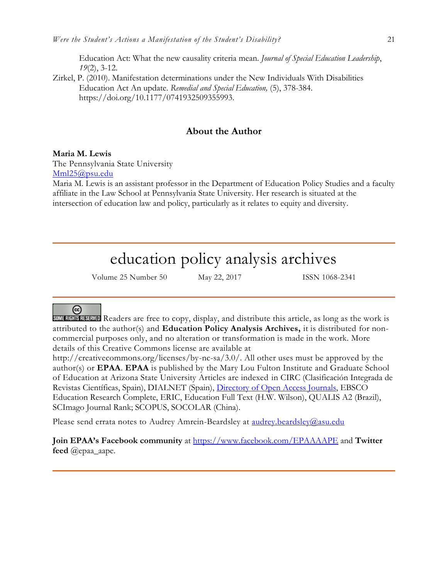Education Act: What the new causality criteria mean. *Journal of Special Education Leadership*, *19*(2), 3-12.

Zirkel, P. (2010). Manifestation determinations under the New Individuals With Disabilities Education Act An update. *Remedial and Special Education,* (5), 378-384. https://doi.org/10.1177/0741932509355993.

## **About the Author**

#### **Maria M. Lewis**

The Pennsylvania State University [Mml25@psu.edu](mailto:Mml25@psu.edu)

Maria M. Lewis is an assistant professor in the Department of Education Policy Studies and a faculty affiliate in the Law School at Pennsylvania State University. Her research is situated at the intersection of education law and policy, particularly as it relates to equity and diversity.

# education policy analysis archives

Volume 25 Number 50 May 22, 2017 ISSN 1068-2341

# ල

SOME RIGHTS RESERVED Readers are free to copy, display, and distribute this article, as long as the work is attributed to the author(s) and **Education Policy Analysis Archives,** it is distributed for noncommercial purposes only, and no alteration or transformation is made in the work. More details of this Creative Commons license are available at

http://creativecommons.org/licenses/by-nc-sa/3.0/. All other uses must be approved by the author(s) or **EPAA**. **EPAA** is published by the Mary Lou Fulton Institute and Graduate School of Education at Arizona State University Articles are indexed in CIRC (Clasificación Integrada de Revistas Científicas, Spain), DIALNET (Spain), [Directory of Open Access Journals,](http://www.doaj.org/) EBSCO Education Research Complete, ERIC, Education Full Text (H.W. Wilson), QUALIS A2 (Brazil), SCImago Journal Rank; SCOPUS, SOCOLAR (China).

Please send errata notes to Audrey Amrein-Beardsley at [audrey.beardsley@asu.edu](mailto:audrey.beardsley@asu.edu)

**Join EPAA's Facebook community** at<https://www.facebook.com/EPAAAAPE> and **Twitter feed** @epaa\_aape.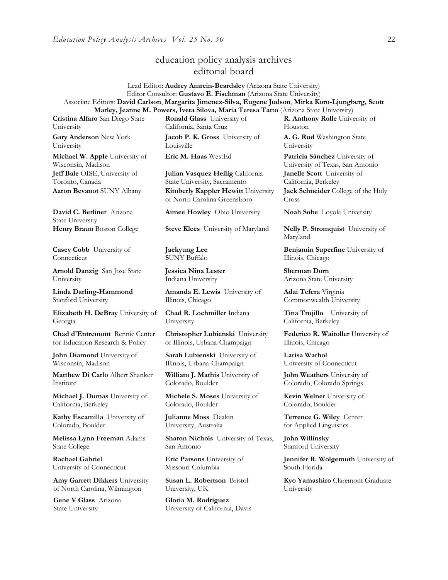# education policy analysis archives editorial board

Lead Editor: **Audrey Amrein-Beardsley** (Arizona State University) Editor Consultor: **Gustavo E. Fischman** (Arizona State University) Associate Editors: **David Carlson**, **Margarita Jimenez-Silva, Eugene Judson**, **Mirka Koro-Ljungberg, Scott Marley, Jeanne M. Powers, Iveta Silova, Maria Teresa Tatto** (Arizona State University)

**Cristina Alfaro** San Diego State University

**Gary Anderson** New York University

**Michael W. Apple** University of Wisconsin, Madison **Jeff Bale** OISE, University of Toronto, Canada

**David C. Berliner** Arizona State University

**Casey Cobb** University of **Connecticut** 

**Arnold Danzig** San Jose State University

**Linda Darling-Hammond**  Stanford University

**Elizabeth H. DeBray** University of Georgia

**Chad d'Entremont** Rennie Center for Education Research & Policy

**John Diamond** University of Wisconsin, Madison

**Matthew Di Carlo** Albert Shanker Institute

**Michael J. Dumas** University of California, Berkeley

**Kathy Escamilla** University of Colorado, Boulder

**Melissa Lynn Freeman** Adams State College

**Rachael Gabriel** University of Connecticut

**Amy Garrett Dikkers** University of North Carolina, Wilmington

**Gene V Glass** Arizona State University

**Ronald Glass** University of California, Santa Cruz

**Jacob P. K. Gross** University of Louisville

**Julian Vasquez Heilig** California State University, Sacramento **Aaron Bevanot** SUNY Albany **Kimberly Kappler Hewitt** University of North Carolina Greensboro

**Aimee Howley** Ohio University **Noah Sobe** Loyola University

**Henry Braun** Boston College **Steve Klees** University of Maryland **Nelly P. Stromquist** University of

**Jaekyung Lee S**UNY Buffalo

**Jessica Nina Lester** Indiana University

**Amanda E. Lewis** University of Illinois, Chicago

**Chad R. Lochmiller** Indiana University

**Christopher Lubienski** University of Illinois, Urbana-Champaign

**Sarah Lubienski** University of Illinois, Urbana-Champaign

**William J. Mathis** University of Colorado, Boulder

**Michele S. Moses** University of Colorado, Boulder

**Julianne Moss** Deakin University, Australia

**Sharon Nichols** University of Texas, San Antonio

**Eric Parsons** University of Missouri-Columbia

**Susan L. Robertson** Bristol University, UK

**Gloria M. Rodriguez** University of California, Davis **R. Anthony Rolle** University of Houston

**A. G. Rud** Washington State University

**Eric M. Haas** WestEd **Patricia Sánchez** University of University of Texas, San Antonio **Janelle Scott** University of California, Berkeley

> **Jack Schneider** College of the Holy Cross

Maryland

**Benjamin Superfine** University of Illinois, Chicago

**Sherman Dorn** Arizona State University

**Adai Tefera** Virginia Commonwealth University

**Tina Trujillo** University of California, Berkeley

**Federico R. Waitoller** University of Illinois, Chicago

**Larisa Warhol** University of Connecticut

**John Weathers** University of Colorado, Colorado Springs

**Kevin Welner** University of Colorado, Boulder

**Terrence G. Wiley** Center for Applied Linguistics

**John Willinsky**  Stanford University

**Jennifer R. Wolgemuth University of** South Florida

**Kyo Yamashiro** Claremont Graduate University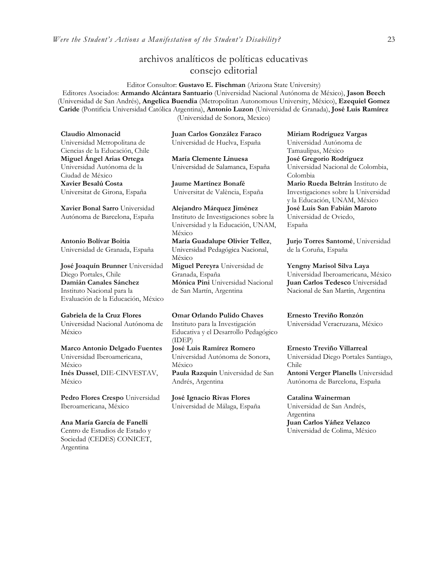# archivos analíticos de políticas educativas consejo editorial

Editor Consultor: **Gustavo E. Fischman** (Arizona State University) Editores Asociados: **Armando Alcántara Santuario** (Universidad Nacional Autónoma de México), **Jason Beech** (Universidad de San Andrés), **Angelica Buendia** (Metropolitan Autonomous University, México), **Ezequiel Gomez Caride** (Pontificia Universidad Católica Argentina), **Antonio Luzon** (Universidad de Granada), **José Luis Ramírez** (Universidad de Sonora, Mexico)

**Claudio Almonacid** Universidad Metropolitana de Ciencias de la Educación, Chile **Miguel Ángel Arias Ortega**  Universidad Autónoma de la Ciudad de México **Xavier Besalú Costa**  Universitat de Girona, España

**[Xavier Bonal](javascript:openRTWindow() Sarro** Universidad Autónoma de Barcelona, España

**[Antonio Bolívar](javascript:openRTWindow() Boitia** Universidad de Granada, España

**[José Joaquín Brunner](javascript:openRTWindow()** Universidad Diego Portales, Chile **[Damián Canales Sánchez](javascript:openRTWindow()** Instituto Nacional para la Evaluación de la Educación, México

**Gabriela de la Cruz Flores** Universidad Nacional Autónoma de México

**[Marco Antonio Delgado Fuentes](javascript:openRTWindow()** Universidad Iberoamericana, México **[Inés Dussel](javascript:openRTWindow()**, DIE-CINVESTAV, México

**[Pedro Flores Crespo](javascript:openRTWindow()** Universidad Iberoamericana, México

**Ana María García de Fanelli**  Centro de Estudios de Estado y Sociedad (CEDES) CONICET, Argentina

**Juan Carlos González Faraco**  Universidad de Huelva, España

**María Clemente Linuesa**  Universidad de Salamanca, España

**Jaume Martínez Bonafé** Universitat de València, España

**Alejandro Márquez Jiménez**  Instituto de Investigaciones sobre la Universidad y la Educación, UNAM, México **María Guadalupe Olivier Tellez**, Universidad Pedagógica Nacional, México **[Miguel Pereyra](javascript:openRTWindow()** Universidad de Granada, España **[Mónica Pini](javascript:openRTWindow()** Universidad Nacional de San Martín, Argentina

**Omar Orlando Pulido Chaves** Instituto para la Investigación Educativa y el Desarrollo Pedagógico (IDEP) **[José Luis Ramírez](javascript:openRTWindow() Romero**

Universidad Autónoma de Sonora, México **[Paula Razquin](javascript:openRTWindow()** Universidad de San Andrés, Argentina

**José Ignacio Rivas Flores** Universidad de Málaga, España **[Miriam Rodríguez Vargas](javascript:openRTWindow()** Universidad Autónoma de Tamaulipas, México **José Gregorio Rodríguez**  Universidad Nacional de Colombia, Colombia

**[Mario Rueda Beltrán](javascript:openRTWindow()** Instituto de Investigaciones sobre la Universidad y la Educación, UNAM, México **José Luis San Fabián Maroto**  Universidad de Oviedo, España

**[Jurjo Torres Santomé](javascript:openRTWindow()**, Universidad de la Coruña, España

**[Yengny Marisol Silva Laya](javascript:openRTWindow()** Universidad Iberoamericana, México **Juan Carlos Tedesco** Universidad Nacional de San Martín, Argentina

**Ernesto Treviño Ronzón** Universidad Veracruzana, México

**[Ernesto Treviño](javascript:openRTWindow() Villarreal** Universidad Diego Portales Santiago, Chile **[Antoni Verger Planells](javascript:openRTWindow()** Universidad Autónoma de Barcelona, España

**[Catalina Wainerman](javascript:openRTWindow()** Universidad de San Andrés, Argentina **Juan Carlos Yáñez Velazco** Universidad de Colima, México